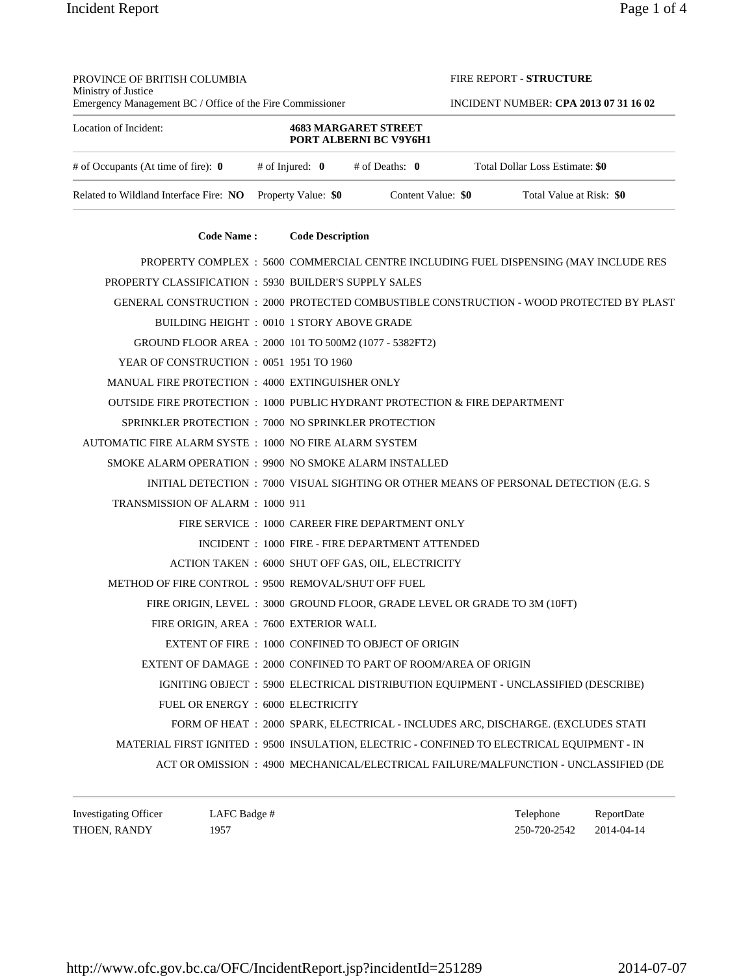PROVINCE OF BRITISH COLUMBIA

FIRE REPORT **- STRUCTURE**

| Ministry of Justice<br>Emergency Management BC / Office of the Fire Commissioner           |                     |                         |                                                          |  |                    | <b>INCIDENT NUMBER: CPA 2013 07 31 16 02</b>                                       |                                                                                     |  |  |  |
|--------------------------------------------------------------------------------------------|---------------------|-------------------------|----------------------------------------------------------|--|--------------------|------------------------------------------------------------------------------------|-------------------------------------------------------------------------------------|--|--|--|
| Location of Incident:                                                                      |                     |                         | <b>4683 MARGARET STREET</b><br>PORT ALBERNI BC V9Y6H1    |  |                    |                                                                                    |                                                                                     |  |  |  |
| # of Occupants (At time of fire): $\mathbf{0}$                                             |                     |                         | $#$ of Injured: $\mathbf{0}$ $#$ of Deaths: $\mathbf{0}$ |  |                    | Total Dollar Loss Estimate: \$0                                                    |                                                                                     |  |  |  |
| Related to Wildland Interface Fire: NO                                                     | Property Value: \$0 |                         |                                                          |  | Content Value: \$0 |                                                                                    | Total Value at Risk: \$0                                                            |  |  |  |
| <b>Code Name:</b>                                                                          |                     | <b>Code Description</b> |                                                          |  |                    |                                                                                    |                                                                                     |  |  |  |
| PROPERTY COMPLEX : 5600 COMMERCIAL CENTRE INCLUDING FUEL DISPENSING (MAY INCLUDE RES       |                     |                         |                                                          |  |                    |                                                                                    |                                                                                     |  |  |  |
| PROPERTY CLASSIFICATION : 5930 BUILDER'S SUPPLY SALES                                      |                     |                         |                                                          |  |                    |                                                                                    |                                                                                     |  |  |  |
| GENERAL CONSTRUCTION :2000_PROTECTED COMBUSTIBLE CONSTRUCTION - WOOD PROTECTED BY PLAST    |                     |                         |                                                          |  |                    |                                                                                    |                                                                                     |  |  |  |
| BUILDING HEIGHT: 0010 1 STORY ABOVE GRADE                                                  |                     |                         |                                                          |  |                    |                                                                                    |                                                                                     |  |  |  |
| GROUND FLOOR AREA : 2000 101 TO 500M2 (1077 - 5382FT2)                                     |                     |                         |                                                          |  |                    |                                                                                    |                                                                                     |  |  |  |
| YEAR OF CONSTRUCTION : 0051 1951 TO 1960                                                   |                     |                         |                                                          |  |                    |                                                                                    |                                                                                     |  |  |  |
| MANUAL FIRE PROTECTION : 4000 EXTINGUISHER ONLY                                            |                     |                         |                                                          |  |                    |                                                                                    |                                                                                     |  |  |  |
| OUTSIDE FIRE PROTECTION : 1000 PUBLIC HYDRANT PROTECTION & FIRE DEPARTMENT                 |                     |                         |                                                          |  |                    |                                                                                    |                                                                                     |  |  |  |
| SPRINKLER PROTECTION : 7000 NO SPRINKLER PROTECTION                                        |                     |                         |                                                          |  |                    |                                                                                    |                                                                                     |  |  |  |
| AUTOMATIC FIRE ALARM SYSTE : 1000 NO FIRE ALARM SYSTEM                                     |                     |                         |                                                          |  |                    |                                                                                    |                                                                                     |  |  |  |
| SMOKE ALARM OPERATION : 9900 NO SMOKE ALARM INSTALLED                                      |                     |                         |                                                          |  |                    |                                                                                    |                                                                                     |  |  |  |
| INITIAL DETECTION : 7000 VISUAL SIGHTING OR OTHER MEANS OF PERSONAL DETECTION (E.G. S      |                     |                         |                                                          |  |                    |                                                                                    |                                                                                     |  |  |  |
| TRANSMISSION OF ALARM : 1000 911                                                           |                     |                         |                                                          |  |                    |                                                                                    |                                                                                     |  |  |  |
| FIRE SERVICE : 1000 CAREER FIRE DEPARTMENT ONLY                                            |                     |                         |                                                          |  |                    |                                                                                    |                                                                                     |  |  |  |
|                                                                                            |                     |                         | INCIDENT : 1000 FIRE - FIRE DEPARTMENT ATTENDED          |  |                    |                                                                                    |                                                                                     |  |  |  |
| ACTION TAKEN : 6000 SHUT OFF GAS, OIL, ELECTRICITY                                         |                     |                         |                                                          |  |                    |                                                                                    |                                                                                     |  |  |  |
| METHOD OF FIRE CONTROL : 9500 REMOVAL/SHUT OFF FUEL                                        |                     |                         |                                                          |  |                    |                                                                                    |                                                                                     |  |  |  |
| FIRE ORIGIN, LEVEL : 3000 GROUND FLOOR, GRADE LEVEL OR GRADE TO 3M (10FT)                  |                     |                         |                                                          |  |                    |                                                                                    |                                                                                     |  |  |  |
| FIRE ORIGIN, AREA : 7600 EXTERIOR WALL                                                     |                     |                         |                                                          |  |                    |                                                                                    |                                                                                     |  |  |  |
| EXTENT OF FIRE : 1000 CONFINED TO OBJECT OF ORIGIN                                         |                     |                         |                                                          |  |                    |                                                                                    |                                                                                     |  |  |  |
| EXTENT OF DAMAGE : 2000 CONFINED TO PART OF ROOM/AREA OF ORIGIN                            |                     |                         |                                                          |  |                    |                                                                                    |                                                                                     |  |  |  |
|                                                                                            |                     |                         |                                                          |  |                    | IGNITING OBJECT : 5900 ELECTRICAL DISTRIBUTION EQUIPMENT - UNCLASSIFIED (DESCRIBE) |                                                                                     |  |  |  |
| FUEL OR ENERGY : 6000 ELECTRICITY                                                          |                     |                         |                                                          |  |                    |                                                                                    |                                                                                     |  |  |  |
|                                                                                            |                     |                         |                                                          |  |                    | FORM OF HEAT : 2000 SPARK, ELECTRICAL - INCLUDES ARC, DISCHARGE. (EXCLUDES STATI   |                                                                                     |  |  |  |
| MATERIAL FIRST IGNITED : 9500 INSULATION, ELECTRIC - CONFINED TO ELECTRICAL EQUIPMENT - IN |                     |                         |                                                          |  |                    |                                                                                    |                                                                                     |  |  |  |
|                                                                                            |                     |                         |                                                          |  |                    |                                                                                    | ACT OR OMISSION : 4900 MECHANICAL/ELECTRICAL FAILURE/MALFUNCTION - UNCLASSIFIED (DE |  |  |  |
|                                                                                            |                     |                         |                                                          |  |                    |                                                                                    |                                                                                     |  |  |  |

Investigating Officer LAFC Badge # Telephone ReportDate THOEN, RANDY 1957 1957 1957 250-720-2542 2014-04-14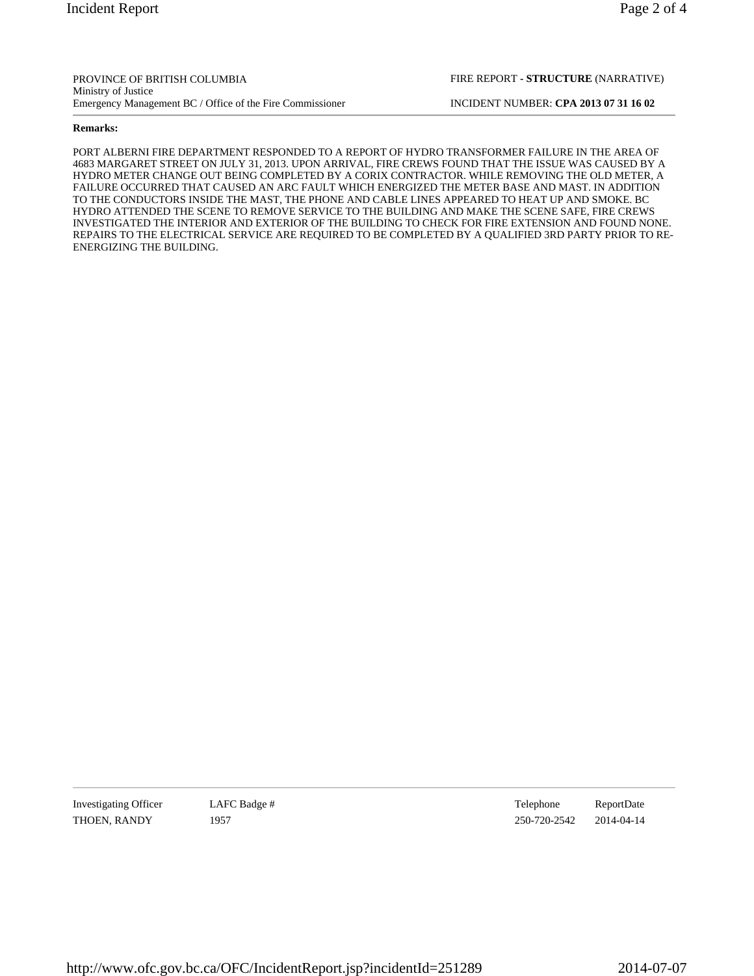## **Remarks:**

PORT ALBERNI FIRE DEPARTMENT RESPONDED TO A REPORT OF HYDRO TRANSFORMER FAILURE IN THE AREA OF 4683 MARGARET STREET ON JULY 31, 2013. UPON ARRIVAL, FIRE CREWS FOUND THAT THE ISSUE WAS CAUSED BY A HYDRO METER CHANGE OUT BEING COMPLETED BY A CORIX CONTRACTOR. WHILE REMOVING THE OLD METER, A FAILURE OCCURRED THAT CAUSED AN ARC FAULT WHICH ENERGIZED THE METER BASE AND MAST. IN ADDITION TO THE CONDUCTORS INSIDE THE MAST, THE PHONE AND CABLE LINES APPEARED TO HEAT UP AND SMOKE. BC HYDRO ATTENDED THE SCENE TO REMOVE SERVICE TO THE BUILDING AND MAKE THE SCENE SAFE, FIRE CREWS INVESTIGATED THE INTERIOR AND EXTERIOR OF THE BUILDING TO CHECK FOR FIRE EXTENSION AND FOUND NONE. REPAIRS TO THE ELECTRICAL SERVICE ARE REQUIRED TO BE COMPLETED BY A QUALIFIED 3RD PARTY PRIOR TO RE-ENERGIZING THE BUILDING.

Investigating Officer LAFC Badge # Telephone ReportDate THOEN, RANDY 1957 1957 1957 250-720-2542 2014-04-14

FIRE REPORT **- STRUCTURE** (NARRATIVE)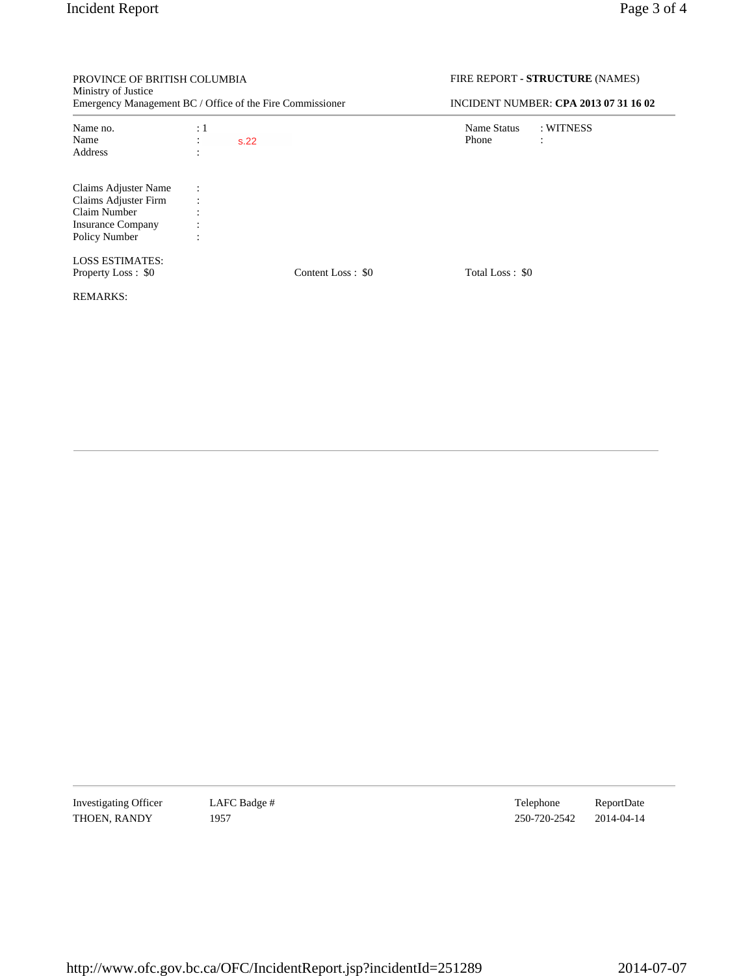PROVINCE OF BRITISH COLUMBIA

FIRE REPORT **- STRUCTURE** (NAMES)

| Ministry of Justice<br>Emergency Management BC / Office of the Fire Commissioner |                |      | <b>INCIDENT NUMBER: CPA 2013 07 31 16 02</b> |                 |           |
|----------------------------------------------------------------------------------|----------------|------|----------------------------------------------|-----------------|-----------|
| Name no.                                                                         | $\div 1$       |      |                                              | Name Status     | : WITNESS |
| Name                                                                             |                | s.22 |                                              | Phone           |           |
| Address                                                                          |                |      |                                              |                 |           |
| Claims Adjuster Name                                                             | $\ddot{\cdot}$ |      |                                              |                 |           |
| Claims Adjuster Firm                                                             |                |      |                                              |                 |           |
| Claim Number                                                                     |                |      |                                              |                 |           |
| <b>Insurance Company</b>                                                         |                |      |                                              |                 |           |
| Policy Number                                                                    |                |      |                                              |                 |           |
| <b>LOSS ESTIMATES:</b>                                                           |                |      |                                              |                 |           |
| Property Loss: \$0                                                               |                |      | Content Loss : \$0                           | Total Loss: \$0 |           |
| <b>REMARKS:</b>                                                                  |                |      |                                              |                 |           |
|                                                                                  |                |      |                                              |                 |           |

Investigating Officer LAFC Badge # Telephone ReportDate THOEN, RANDY 1957 1957 250-720-2542 2014-04-14